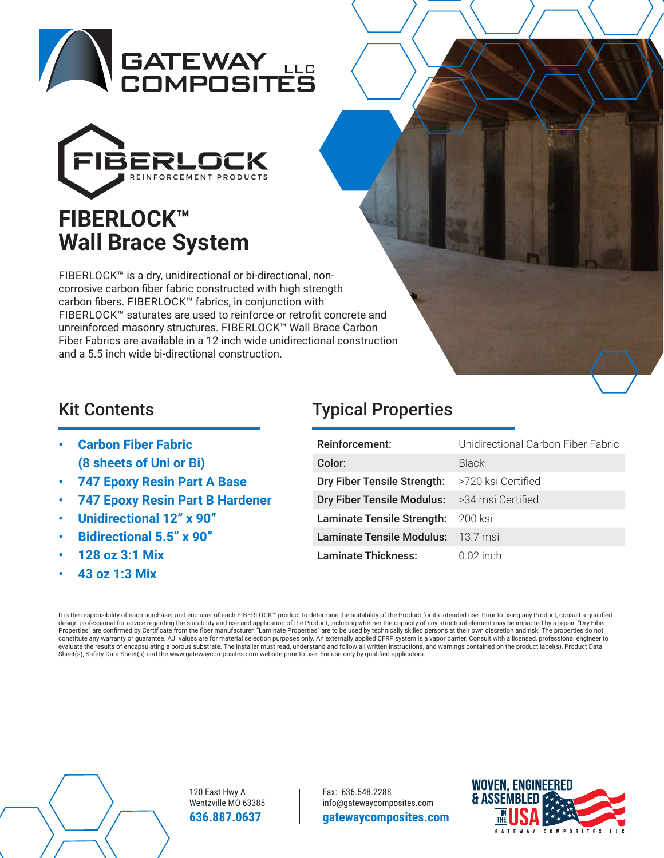



FIBERLOCK™ is a dry, unidirectional or bi-directional, noncorrosive carbon fiber fabric constructed with high strength carbon fibers. FIBERLOCK™ fabrics, in conjunction with FIBERLOCK™ saturates are used to reinforce or retrofit concrete and unreinforced masonry structures. FIBERLOCK™ Wall Brace Carbon Fiber Fabrics are available in a 12 inch wide unidirectional construction and a 5.5 inch wide bi-directional construction.

- **Carbon Fiber Fabric (8 sheets of Uni or Bi)**
- **747 Epoxy Resin Part A Base**
- **747 Epoxy Resin Part B Hardener**
- **Unidirectional 12" x 90"**
- **Bidirectional 5.5" x 90"**
- **128 oz 3:1 Mix**
- **43 oz 1:3 Mix**

# Kit Contents **Typical Properties**

| Reinforcement:              | Unidirectional Carbon Fiber Fabric |
|-----------------------------|------------------------------------|
| Color:                      | Black                              |
| Dry Fiber Tensile Strength: | >720 ksi Certified                 |
| Dry Fiber Tensile Modulus:  | >34 msi Certified                  |
| Laminate Tensile Strength:  | - 200 ksi                          |
| Laminate Tensile Modulus:   | - 13.7 msi                         |
| Laminate Thickness:         | $0.02$ inch                        |

It is the responsibility of each purchaser and end user of each FIBERLOCK™ product to determine the suitability of the Product for its intended use. Prior to using any Product, consult a qualified design professional for advice regarding the suitability and use and application of the Product, including whether the capacity of any structural element may be impacted by a repair. "Dry Fiber Properties" are confirmed by Certificate from the fiber manufacturer. "Laminate Properties" are to be used by technically skilled persons at their own discretion and risk. The properties do not<br>constitute any warranty or g Sheet(s), Safety Data Sheet(s) and the www.gatewaycomposites.com website prior to use. For use only by qualified applicators.



120 East Hwy A Wentzville MO 63385 **636.887.0637** 

Fax: 636.548.2288 info@gatewaycomposites.com **gatewaycomposites.com**

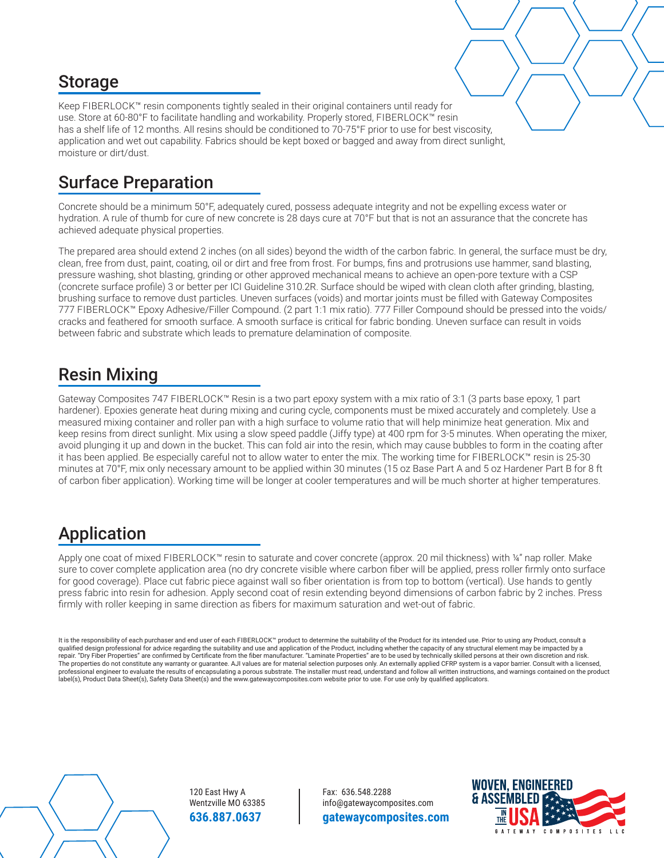#### Storage

Keep FIBERLOCK™ resin components tightly sealed in their original containers until ready for use. Store at 60-80°F to facilitate handling and workability. Properly stored, FIBERLOCK™ resin has a shelf life of 12 months. All resins should be conditioned to 70-75°F prior to use for best viscosity, application and wet out capability. Fabrics should be kept boxed or bagged and away from direct sunlight, moisture or dirt/dust.

# Surface Preparation

Concrete should be a minimum 50°F, adequately cured, possess adequate integrity and not be expelling excess water or hydration. A rule of thumb for cure of new concrete is 28 days cure at 70°F but that is not an assurance that the concrete has achieved adequate physical properties.

The prepared area should extend 2 inches (on all sides) beyond the width of the carbon fabric. In general, the surface must be dry, clean, free from dust, paint, coating, oil or dirt and free from frost. For bumps, fins and protrusions use hammer, sand blasting, pressure washing, shot blasting, grinding or other approved mechanical means to achieve an open-pore texture with a CSP (concrete surface profile) 3 or better per ICI Guideline 310.2R. Surface should be wiped with clean cloth after grinding, blasting, brushing surface to remove dust particles. Uneven surfaces (voids) and mortar joints must be filled with Gateway Composites 777 FIBERLOCK™ Epoxy Adhesive/Filler Compound. (2 part 1:1 mix ratio). 777 Filler Compound should be pressed into the voids/ cracks and feathered for smooth surface. A smooth surface is critical for fabric bonding. Uneven surface can result in voids between fabric and substrate which leads to premature delamination of composite.

#### Resin Mixing

Gateway Composites 747 FIBERLOCK™ Resin is a two part epoxy system with a mix ratio of 3:1 (3 parts base epoxy, 1 part hardener). Epoxies generate heat during mixing and curing cycle, components must be mixed accurately and completely. Use a measured mixing container and roller pan with a high surface to volume ratio that will help minimize heat generation. Mix and keep resins from direct sunlight. Mix using a slow speed paddle (Jiffy type) at 400 rpm for 3-5 minutes. When operating the mixer, avoid plunging it up and down in the bucket. This can fold air into the resin, which may cause bubbles to form in the coating after it has been applied. Be especially careful not to allow water to enter the mix. The working time for FIBERLOCK™ resin is 25-30 minutes at 70°F, mix only necessary amount to be applied within 30 minutes (15 oz Base Part A and 5 oz Hardener Part B for 8 ft of carbon fiber application). Working time will be longer at cooler temperatures and will be much shorter at higher temperatures.

### Application

Apply one coat of mixed FIBERLOCK™ resin to saturate and cover concrete (approx. 20 mil thickness) with ¼" nap roller. Make sure to cover complete application area (no dry concrete visible where carbon fiber will be applied, press roller firmly onto surface for good coverage). Place cut fabric piece against wall so fiber orientation is from top to bottom (vertical). Use hands to gently press fabric into resin for adhesion. Apply second coat of resin extending beyond dimensions of carbon fabric by 2 inches. Press firmly with roller keeping in same direction as fibers for maximum saturation and wet-out of fabric.

It is the responsibility of each purchaser and end user of each FIBERLOCK™ product to determine the suitability of the Product for its intended use. Prior to using any Product, consult a qualified design professional for advice regarding the suitability and use and application of the Product, including whether the capacity of any structural element may be impacted by a repair. "Dry Fiber Properties" are confirmed by Certificate from the fiber manufacturer. "Laminate Properties" are to be used by technically skilled persons at their own discretion and risk. The properties do not constitute any warranty or guarantee. AJI values are for material selection purposes only. An externally applied CFRP system is a vapor barrier. Consult with a licensed, professional engineer to evaluate the results of encapsulating a porous substrate. The installer must read, understand and follow all written instructions, and warnings contained on the product label(s), Product Data Sheet(s), Safety Data Sheet(s) and the www.gatewaycomposites.com website prior to use. For use only by qualified applicators.

120 East Hwy A Wentzville MO 63385 **636.887.0637** 

Fax: 636.548.2288 info@gatewaycomposites.com **gatewaycomposites.com**